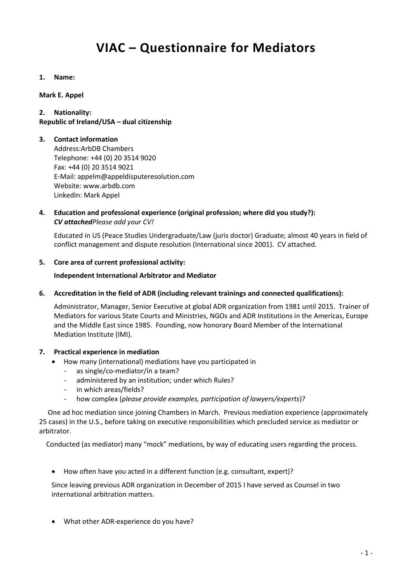# **VIAC – Questionnaire for Mediators**

**1. Name:**

**Mark E. Appel**

## **2. Nationality:**

# **Republic of Ireland/USA – dual citizenship**

## **3. Contact information**

Address:ArbDB Chambers Telephone: +44 (0) 20 3514 9020 Fax: +44 (0) 20 3514 9021 E-Mail: appelm@appeldisputeresolution.com Website: www.arbdb.com LinkedIn: Mark Appel

# **4. Education and professional experience (original profession; where did you study?):** *CV attachedPlease add your CV!*

Educated in US (Peace Studies Undergraduate/Law (juris doctor) Graduate; almost 40 years in field of conflict management and dispute resolution (International since 2001). CV attached.

## **5. Core area of current professional activity:**

## **Independent International Arbitrator and Mediator**

# **6. Accreditation in the field of ADR (including relevant trainings and connected qualifications):**

Administrator, Manager, Senior Executive at global ADR organization from 1981 until 2015. Trainer of Mediators for various State Courts and Ministries, NGOs and ADR Institutions in the Americas, Europe and the Middle East since 1985. Founding, now honorary Board Member of the International Mediation Institute (IMI).

#### **7. Practical experience in mediation**

- How many (international) mediations have you participated in
- as single/co-mediator/in a team?
- administered by an institution; under which Rules?
- in which areas/fields?
- how complex (*please provide examples, participation of lawyers/experts*)?

 One ad hoc mediation since joining Chambers in March. Previous mediation experience (approximately 25 cases) in the U.S., before taking on executive responsibilities which precluded service as mediator or arbitrator.

Conducted (as mediator) many "mock" mediations, by way of educating users regarding the process.

How often have you acted in a different function (e.g. consultant, expert)?

Since leaving previous ADR organization in December of 2015 I have served as Counsel in two international arbitration matters.

What other ADR-experience do you have?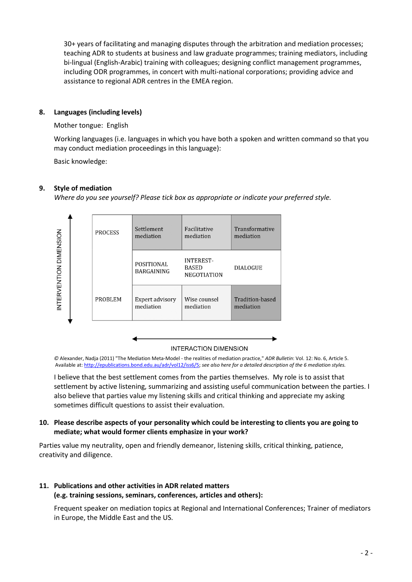30+ years of facilitating and managing disputes through the arbitration and mediation processes; teaching ADR to students at business and law graduate programmes; training mediators, including bi-lingual (English-Arabic) training with colleagues; designing conflict management programmes, including ODR programmes, in concert with multi-national corporations; providing advice and assistance to regional ADR centres in the EMEA region.

# **8. Languages (including levels)**

## Mother tongue: English

Working languages (i.e. languages in which you have both a spoken and written command so that you may conduct mediation proceedings in this language):

Basic knowledge:

# **9. Style of mediation**

*Where do you see yourself? Please tick box as appropriate or indicate your preferred style.*



#### **INTERACTION DIMENSION**

*©* Alexander, Nadja (2011) "The Mediation Meta-Model - the realities of mediation practice," *ADR Bulletin*: Vol. 12: No. 6, Article 5. Available at[: http://epublications.bond.edu.au/adr/vol12/iss6/5;](http://epublications.bond.edu.au/adr/vol12/iss6/5) *see also here for a detailed description of the 6 mediation styles.*

I believe that the best settlement comes from the parties themselves. My role is to assist that settlement by active listening, summarizing and assisting useful communication between the parties. I also believe that parties value my listening skills and critical thinking and appreciate my asking sometimes difficult questions to assist their evaluation.

# **10. Please describe aspects of your personality which could be interesting to clients you are going to mediate; what would former clients emphasize in your work?**

Parties value my neutrality, open and friendly demeanor, listening skills, critical thinking, patience, creativity and diligence.

#### **11. Publications and other activities in ADR related matters (e.g. training sessions, seminars, conferences, articles and others):**

Frequent speaker on mediation topics at Regional and International Conferences; Trainer of mediators in Europe, the Middle East and the US.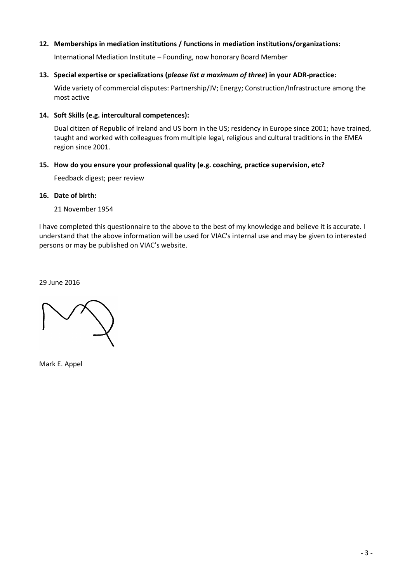# **12. Memberships in mediation institutions / functions in mediation institutions/organizations:**

International Mediation Institute – Founding, now honorary Board Member

#### **13. Special expertise or specializations (***please list a maximum of three***) in your ADR-practice:**

Wide variety of commercial disputes: Partnership/JV; Energy; Construction/Infrastructure among the most active

## **14. Soft Skills (e.g. intercultural competences):**

Dual citizen of Republic of Ireland and US born in the US; residency in Europe since 2001; have trained, taught and worked with colleagues from multiple legal, religious and cultural traditions in the EMEA region since 2001.

# **15. How do you ensure your professional quality (e.g. coaching, practice supervision, etc?**

Feedback digest; peer review

## **16. Date of birth:**

21 November 1954

I have completed this questionnaire to the above to the best of my knowledge and believe it is accurate. I understand that the above information will be used for VIAC's internal use and may be given to interested persons or may be published on VIAC's website.

29 June 2016

Mark E. Appel